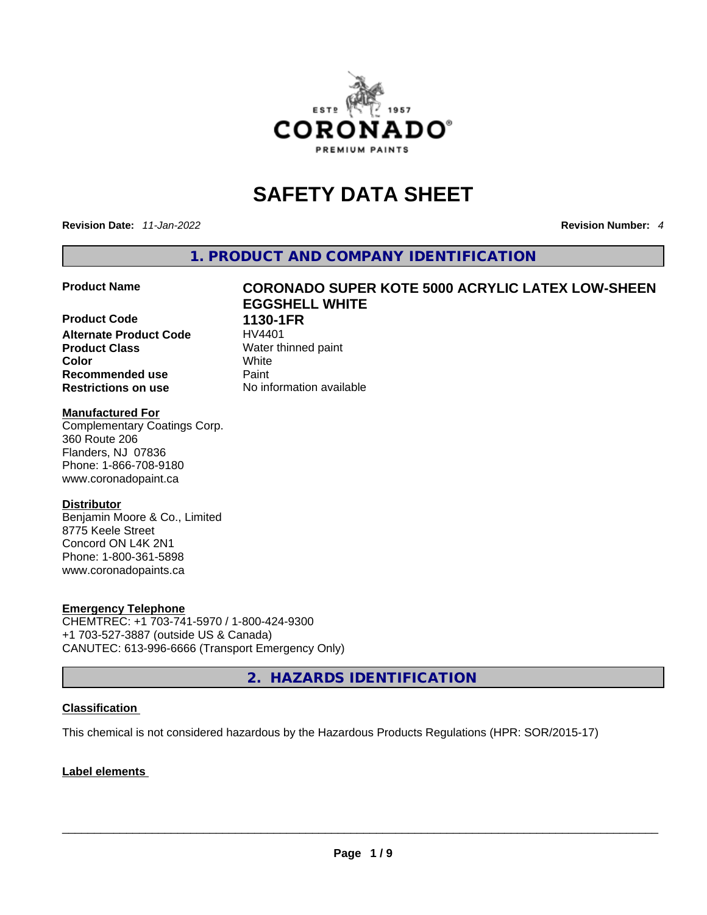

# **SAFETY DATA SHEET**

**Revision Date:** *11-Jan-2022* **Revision Number:** *4*

**1. PRODUCT AND COMPANY IDENTIFICATION** 

**Product Code 1130-1FR Alternate Product Code HV4401 Product Class Water thinned paint Color** White **Recommended use <b>Paint Restrictions on use** No information available

## **Product Name CORONADO SUPER KOTE 5000 ACRYLIC LATEX LOW-SHEEN EGGSHELL WHITE**

## **Manufactured For**

Complementary Coatings Corp. 360 Route 206 Flanders, NJ 07836 Phone: 1-866-708-9180 www.coronadopaint.ca

## **Distributor**

Benjamin Moore & Co., Limited 8775 Keele Street Concord ON L4K 2N1 Phone: 1-800-361-5898 www.coronadopaints.ca

### **Emergency Telephone**

CHEMTREC: +1 703-741-5970 / 1-800-424-9300 +1 703-527-3887 (outside US & Canada) CANUTEC: 613-996-6666 (Transport Emergency Only)

**2. HAZARDS IDENTIFICATION** 

## **Classification**

This chemical is not considered hazardous by the Hazardous Products Regulations (HPR: SOR/2015-17)

## **Label elements**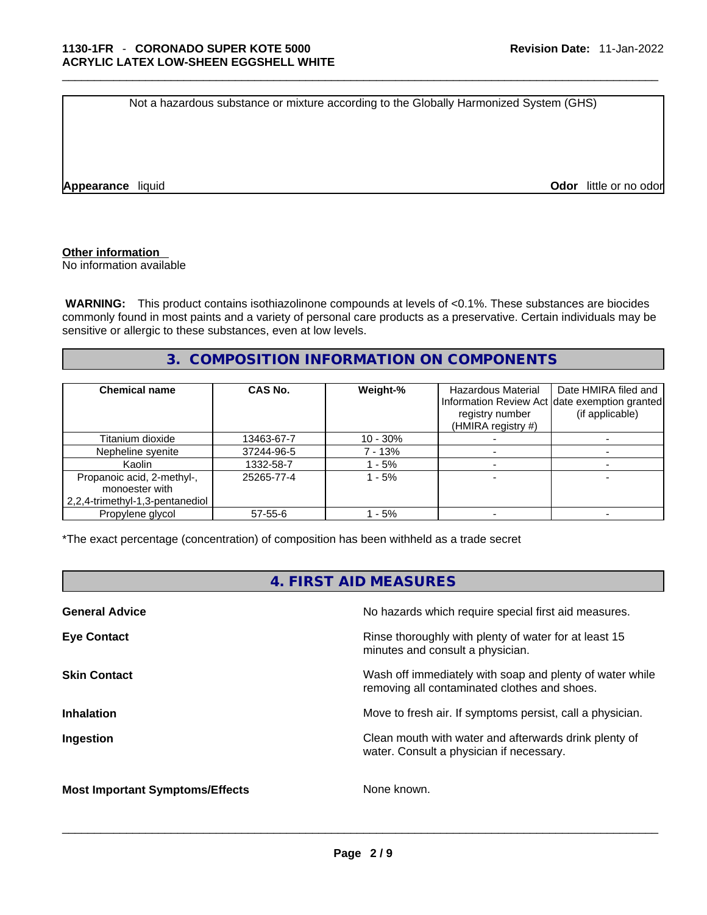Not a hazardous substance or mixture according to the Globally Harmonized System (GHS)

**Appearance** liquid **Odor** *liquid* **Odor** *little or no odor* 

#### **Other information**

No information available

 **WARNING:** This product contains isothiazolinone compounds at levels of <0.1%. These substances are biocides commonly found in most paints and a variety of personal care products as a preservative. Certain individuals may be sensitive or allergic to these substances, even at low levels.

## **3. COMPOSITION INFORMATION ON COMPONENTS**

| <b>Chemical name</b>                                                            | CAS No.    | Weight-%    | <b>Hazardous Material</b><br>registry number<br>(HMIRA registry $#$ ) | Date HMIRA filed and<br>Information Review Act date exemption granted<br>(if applicable) |
|---------------------------------------------------------------------------------|------------|-------------|-----------------------------------------------------------------------|------------------------------------------------------------------------------------------|
| Titanium dioxide                                                                | 13463-67-7 | $10 - 30\%$ |                                                                       |                                                                                          |
| Nepheline syenite                                                               | 37244-96-5 | 7 - 13%     |                                                                       |                                                                                          |
| Kaolin                                                                          | 1332-58-7  | - 5%        |                                                                       |                                                                                          |
| Propanoic acid, 2-methyl-,<br>monoester with<br>2,2,4-trimethyl-1,3-pentanediol | 25265-77-4 | 1 - 5%      |                                                                       |                                                                                          |
| Propylene glycol                                                                | 57-55-6    | - 5%        |                                                                       |                                                                                          |

\*The exact percentage (concentration) of composition has been withheld as a trade secret

## **4. FIRST AID MEASURES**

| <b>General Advice</b>                  | No hazards which require special first aid measures.                                                     |
|----------------------------------------|----------------------------------------------------------------------------------------------------------|
| <b>Eye Contact</b>                     | Rinse thoroughly with plenty of water for at least 15<br>minutes and consult a physician.                |
| <b>Skin Contact</b>                    | Wash off immediately with soap and plenty of water while<br>removing all contaminated clothes and shoes. |
| <b>Inhalation</b>                      | Move to fresh air. If symptoms persist, call a physician.                                                |
| Ingestion                              | Clean mouth with water and afterwards drink plenty of<br>water. Consult a physician if necessary.        |
| <b>Most Important Symptoms/Effects</b> | None known.                                                                                              |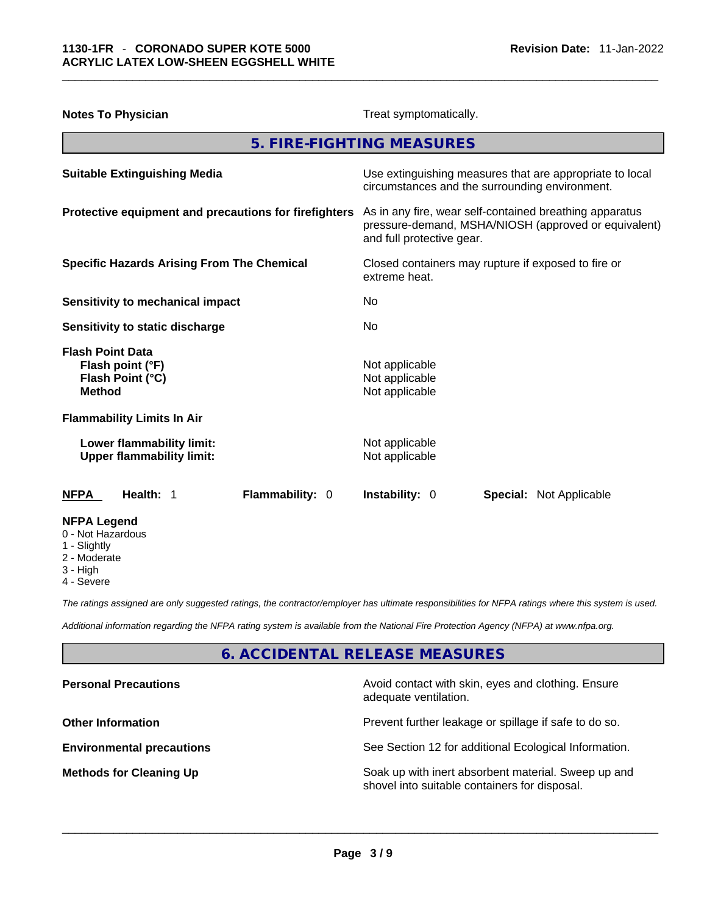| <b>Notes To Physician</b>                                                        | Treat symptomatically.                                                                                                                       |  |  |
|----------------------------------------------------------------------------------|----------------------------------------------------------------------------------------------------------------------------------------------|--|--|
|                                                                                  | 5. FIRE-FIGHTING MEASURES                                                                                                                    |  |  |
| <b>Suitable Extinguishing Media</b>                                              | Use extinguishing measures that are appropriate to local<br>circumstances and the surrounding environment.                                   |  |  |
| Protective equipment and precautions for firefighters                            | As in any fire, wear self-contained breathing apparatus<br>pressure-demand, MSHA/NIOSH (approved or equivalent)<br>and full protective gear. |  |  |
| <b>Specific Hazards Arising From The Chemical</b>                                | Closed containers may rupture if exposed to fire or<br>extreme heat.                                                                         |  |  |
| <b>Sensitivity to mechanical impact</b>                                          | No                                                                                                                                           |  |  |
| Sensitivity to static discharge                                                  | No                                                                                                                                           |  |  |
| <b>Flash Point Data</b><br>Flash point (°F)<br>Flash Point (°C)<br><b>Method</b> | Not applicable<br>Not applicable<br>Not applicable                                                                                           |  |  |
| <b>Flammability Limits In Air</b>                                                |                                                                                                                                              |  |  |
| Lower flammability limit:<br><b>Upper flammability limit:</b>                    | Not applicable<br>Not applicable                                                                                                             |  |  |
| Health: 1<br>Flammability: 0<br><b>NFPA</b>                                      | <b>Instability: 0</b><br><b>Special: Not Applicable</b>                                                                                      |  |  |
| <b>NFPA Legend</b><br>0 - Not Hazardous<br>1 - Slightly                          |                                                                                                                                              |  |  |

- 2 Moderate
- 3 High
- 
- 4 Severe

*The ratings assigned are only suggested ratings, the contractor/employer has ultimate responsibilities for NFPA ratings where this system is used.* 

*Additional information regarding the NFPA rating system is available from the National Fire Protection Agency (NFPA) at www.nfpa.org.* 

## **6. ACCIDENTAL RELEASE MEASURES**

| <b>Personal Precautions</b>      | Avoid contact with skin, eyes and clothing. Ensure<br>adequate ventilation.                          |
|----------------------------------|------------------------------------------------------------------------------------------------------|
| <b>Other Information</b>         | Prevent further leakage or spillage if safe to do so.                                                |
| <b>Environmental precautions</b> | See Section 12 for additional Ecological Information.                                                |
| <b>Methods for Cleaning Up</b>   | Soak up with inert absorbent material. Sweep up and<br>shovel into suitable containers for disposal. |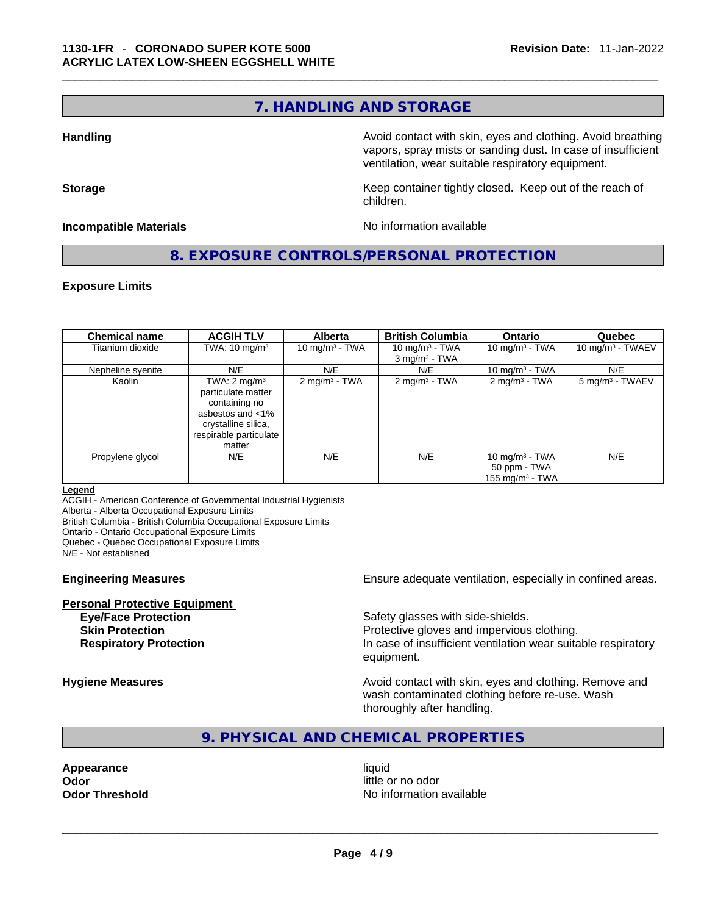## **7. HANDLING AND STORAGE**

**Handling <b>Avoid** contact with skin, eyes and clothing. Avoid breathing and state of the sking of the sking state of the sking state of the sking state of the sking state of the sking state of the sking state of the sking vapors, spray mists or sanding dust. In case of insufficient ventilation, wear suitable respiratory equipment.

**Storage Example 20 Keep container tightly closed. Keep out of the reach of**  $\mathbf{K}$ children.

**Incompatible Materials Materials** No information available

**8. EXPOSURE CONTROLS/PERSONAL PROTECTION** 

### **Exposure Limits**

| <b>Chemical name</b> | <b>ACGIH TLV</b>                                                                                                                              | <b>Alberta</b>           | <b>British Columbia</b>                          | <b>Ontario</b>                                          | Quebec                     |
|----------------------|-----------------------------------------------------------------------------------------------------------------------------------------------|--------------------------|--------------------------------------------------|---------------------------------------------------------|----------------------------|
| Titanium dioxide     | TWA: $10 \text{ mg/m}^3$                                                                                                                      | 10 mg/m $3$ - TWA        | 10 mg/m $3$ - TWA<br>$3$ mg/m <sup>3</sup> - TWA | 10 mg/m $3$ - TWA                                       | 10 mg/m $3$ - TWAEV        |
| Nepheline syenite    | N/E                                                                                                                                           | N/E                      | N/E                                              | 10 mg/m $3$ - TWA                                       | N/E                        |
| Kaolin               | TWA: $2 \text{ mg/m}^3$<br>particulate matter<br>containing no<br>asbestos and <1%<br>crystalline silica,<br>respirable particulate<br>matter | $2 \text{ mg/m}^3$ - TWA | $2 \text{ mg/m}^3$ - TWA                         | $2$ mg/m <sup>3</sup> - TWA                             | $5 \text{ mg/m}^3$ - TWAEV |
| Propylene glycol     | N/E                                                                                                                                           | N/E                      | N/E                                              | 10 mg/m $3$ - TWA<br>50 ppm - TWA<br>155 mg/m $3$ - TWA | N/E                        |

#### **Legend**

ACGIH - American Conference of Governmental Industrial Hygienists

Alberta - Alberta Occupational Exposure Limits

British Columbia - British Columbia Occupational Exposure Limits

Ontario - Ontario Occupational Exposure Limits

Quebec - Quebec Occupational Exposure Limits

N/E - Not established

**Personal Protective Equipment**

**Engineering Measures Ensure** Ensure adequate ventilation, especially in confined areas.

Safety glasses with side-shields. **Skin Protection Protection Protective gloves and impervious clothing. Respiratory Protection In case of insufficient ventilation wear suitable respiratory** equipment.

**Hygiene Measures Avoid contact with skin, eyes and clothing. Remove and Avoid contact with skin, eyes and clothing. Remove and** wash contaminated clothing before re-use. Wash thoroughly after handling.

## **9. PHYSICAL AND CHEMICAL PROPERTIES**

**Appearance** liquid

**Odor**<br> **Odor Threshold**<br> **Odor Threshold little or no odor**<br>
No information available **Odor Threshold** No information available \_\_\_\_\_\_\_\_\_\_\_\_\_\_\_\_\_\_\_\_\_\_\_\_\_\_\_\_\_\_\_\_\_\_\_\_\_\_\_\_\_\_\_\_\_\_\_\_\_\_\_\_\_\_\_\_\_\_\_\_\_\_\_\_\_\_\_\_\_\_\_\_\_\_\_\_\_\_\_\_\_\_\_\_\_\_\_\_\_\_\_\_\_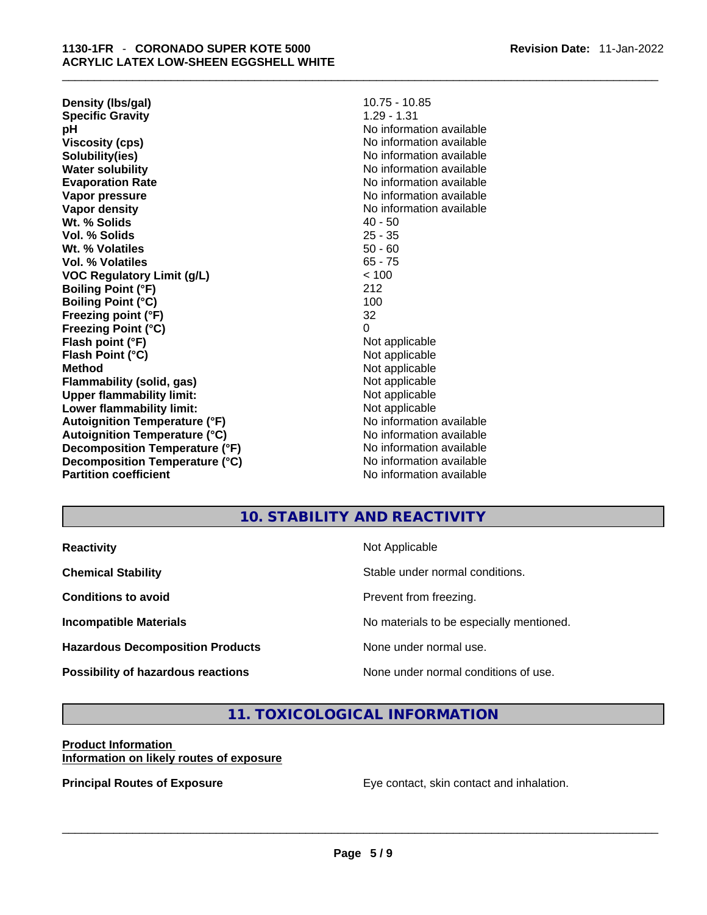**Revision Date:** 11-Jan-2022

| Density (Ibs/gal)                    | $10.75 - 10.85$          |
|--------------------------------------|--------------------------|
| <b>Specific Gravity</b>              | $1.29 - 1.31$            |
| рH                                   | No information available |
| <b>Viscosity (cps)</b>               | No information available |
| Solubility(ies)                      | No information available |
| <b>Water solubility</b>              | No information available |
| <b>Evaporation Rate</b>              | No information available |
| Vapor pressure                       | No information available |
| Vapor density                        | No information available |
| Wt. % Solids                         | $40 - 50$                |
| Vol. % Solids                        | $25 - 35$                |
| Wt. % Volatiles                      | $50 - 60$                |
| Vol. % Volatiles                     | $65 - 75$                |
| <b>VOC Regulatory Limit (g/L)</b>    | < 100                    |
| <b>Boiling Point (°F)</b>            | 212                      |
| <b>Boiling Point (°C)</b>            | 100                      |
| Freezing point (°F)                  | 32                       |
| <b>Freezing Point (°C)</b>           | 0                        |
| Flash point (°F)                     | Not applicable           |
| Flash Point (°C)                     | Not applicable           |
| <b>Method</b>                        | Not applicable           |
| Flammability (solid, gas)            | Not applicable           |
| <b>Upper flammability limit:</b>     | Not applicable           |
| Lower flammability limit:            | Not applicable           |
| <b>Autoignition Temperature (°F)</b> | No information available |
| <b>Autoignition Temperature (°C)</b> | No information available |
| Decomposition Temperature (°F)       | No information available |
| Decomposition Temperature (°C)       | No information available |
| <b>Partition coefficient</b>         | No information available |

## **10. STABILITY AND REACTIVITY**

| <b>Reactivity</b>                         | Not Applicable                           |
|-------------------------------------------|------------------------------------------|
| <b>Chemical Stability</b>                 | Stable under normal conditions.          |
| <b>Conditions to avoid</b>                | Prevent from freezing.                   |
| <b>Incompatible Materials</b>             | No materials to be especially mentioned. |
| <b>Hazardous Decomposition Products</b>   | None under normal use.                   |
| <b>Possibility of hazardous reactions</b> | None under normal conditions of use.     |

## **11. TOXICOLOGICAL INFORMATION**

## **Product Information**

**Information on likely routes of exposure**

**Principal Routes of Exposure** Eye contact, skin contact and inhalation. \_\_\_\_\_\_\_\_\_\_\_\_\_\_\_\_\_\_\_\_\_\_\_\_\_\_\_\_\_\_\_\_\_\_\_\_\_\_\_\_\_\_\_\_\_\_\_\_\_\_\_\_\_\_\_\_\_\_\_\_\_\_\_\_\_\_\_\_\_\_\_\_\_\_\_\_\_\_\_\_\_\_\_\_\_\_\_\_\_\_\_\_\_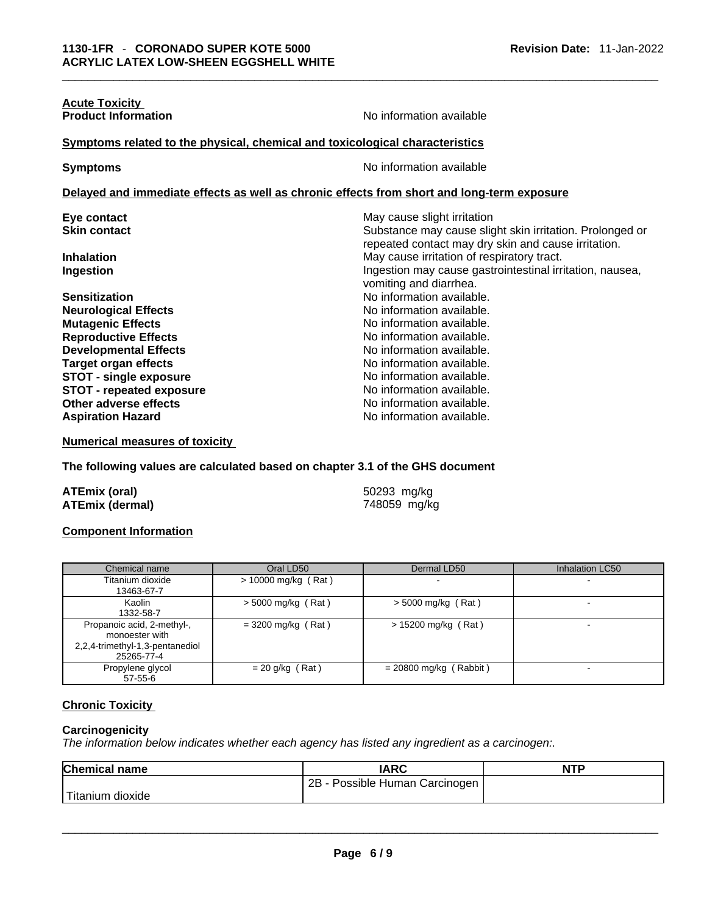| <b>Acute Toxicity</b>                                                        |                                                                                                                 |  |  |
|------------------------------------------------------------------------------|-----------------------------------------------------------------------------------------------------------------|--|--|
| <b>Product Information</b>                                                   | No information available                                                                                        |  |  |
| Symptoms related to the physical, chemical and toxicological characteristics |                                                                                                                 |  |  |
| <b>Symptoms</b>                                                              | No information available                                                                                        |  |  |
|                                                                              | Delayed and immediate effects as well as chronic effects from short and long-term exposure                      |  |  |
| Eye contact                                                                  | May cause slight irritation                                                                                     |  |  |
| <b>Skin contact</b>                                                          | Substance may cause slight skin irritation. Prolonged or<br>repeated contact may dry skin and cause irritation. |  |  |
| <b>Inhalation</b>                                                            | May cause irritation of respiratory tract.                                                                      |  |  |
| Ingestion                                                                    | Ingestion may cause gastrointestinal irritation, nausea,<br>vomiting and diarrhea.                              |  |  |
| <b>Sensitization</b>                                                         | No information available.                                                                                       |  |  |
| <b>Neurological Effects</b>                                                  | No information available.                                                                                       |  |  |
| <b>Mutagenic Effects</b>                                                     | No information available.                                                                                       |  |  |
| <b>Reproductive Effects</b>                                                  | No information available.                                                                                       |  |  |
| <b>Developmental Effects</b>                                                 | No information available.                                                                                       |  |  |
| <b>Target organ effects</b>                                                  | No information available.                                                                                       |  |  |
| <b>STOT - single exposure</b>                                                | No information available.                                                                                       |  |  |
| <b>STOT - repeated exposure</b>                                              | No information available.                                                                                       |  |  |
| Other adverse effects                                                        | No information available.                                                                                       |  |  |
| <b>Aspiration Hazard</b>                                                     | No information available.                                                                                       |  |  |
|                                                                              |                                                                                                                 |  |  |

**Numerical measures of toxicity**

**The following values are calculated based on chapter 3.1 of the GHS document**

| <b>ATEmix (oral)</b>   | 50293 mg/kg  |
|------------------------|--------------|
| <b>ATEmix (dermal)</b> | 748059 mg/kg |

## **Component Information**

| Chemical name                   | Oral LD50             | Dermal LD50              | Inhalation LC50 |
|---------------------------------|-----------------------|--------------------------|-----------------|
| Titanium dioxide                | $> 10000$ mg/kg (Rat) |                          |                 |
| 13463-67-7                      |                       |                          |                 |
| Kaolin                          | $>$ 5000 mg/kg (Rat)  | $>$ 5000 mg/kg (Rat)     |                 |
| 1332-58-7                       |                       |                          |                 |
| Propanoic acid, 2-methyl-,      | $=$ 3200 mg/kg (Rat)  | > 15200 mg/kg (Rat)      |                 |
| monoester with                  |                       |                          |                 |
| 2,2,4-trimethyl-1,3-pentanediol |                       |                          |                 |
| 25265-77-4                      |                       |                          |                 |
| Propylene glycol                | $= 20$ g/kg (Rat)     | $= 20800$ mg/kg (Rabbit) |                 |
| $57 - 55 - 6$                   |                       |                          |                 |

## **Chronic Toxicity**

#### **Carcinogenicity**

*The information below indicates whether each agency has listed any ingredient as a carcinogen:.* 

| <b>Chemical name</b> | <b>IARC</b>                    | <b>NTP</b> |
|----------------------|--------------------------------|------------|
|                      | 2B - Possible Human Carcinogen |            |
| Titanium dioxide     |                                |            |
|                      |                                |            |
|                      |                                |            |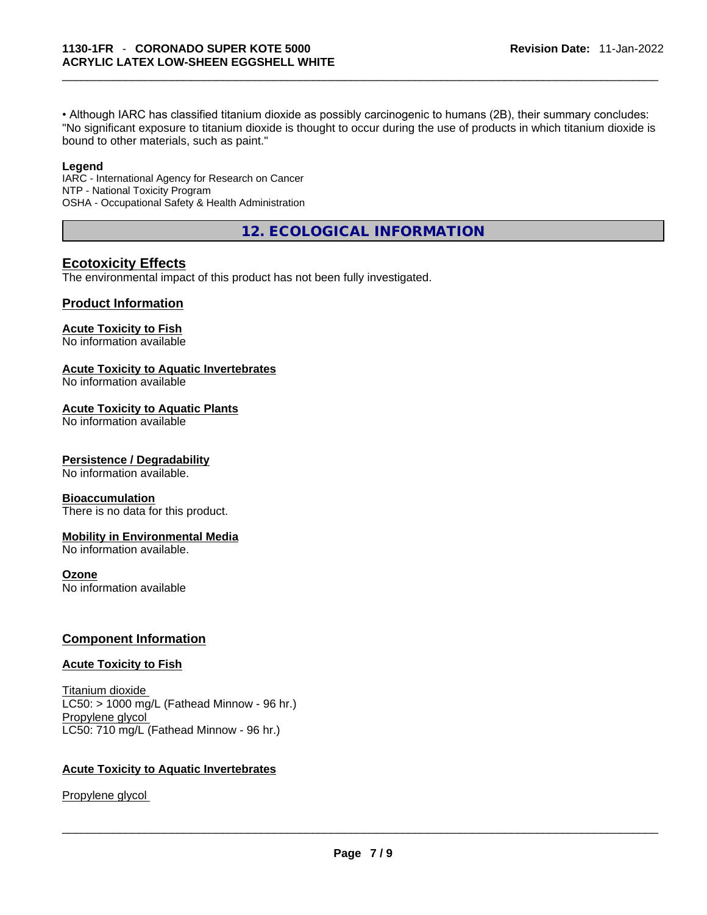• Although IARC has classified titanium dioxide as possibly carcinogenic to humans (2B), their summary concludes: "No significant exposure to titanium dioxide is thought to occur during the use of products in which titanium dioxide is bound to other materials, such as paint."

#### **Legend**

IARC - International Agency for Research on Cancer NTP - National Toxicity Program OSHA - Occupational Safety & Health Administration

**12. ECOLOGICAL INFORMATION** 

## **Ecotoxicity Effects**

The environmental impact of this product has not been fully investigated.

## **Product Information**

## **Acute Toxicity to Fish**

No information available

## **Acute Toxicity to Aquatic Invertebrates**

No information available

### **Acute Toxicity to Aquatic Plants**

No information available

### **Persistence / Degradability**

No information available.

### **Bioaccumulation**

There is no data for this product.

### **Mobility in Environmental Media**

No information available.

## **Ozone**

No information available

## **Component Information**

### **Acute Toxicity to Fish**

Titanium dioxide  $LC50:$  > 1000 mg/L (Fathead Minnow - 96 hr.) Propylene glycol LC50: 710 mg/L (Fathead Minnow - 96 hr.)

### **Acute Toxicity to Aquatic Invertebrates**

Propylene glycol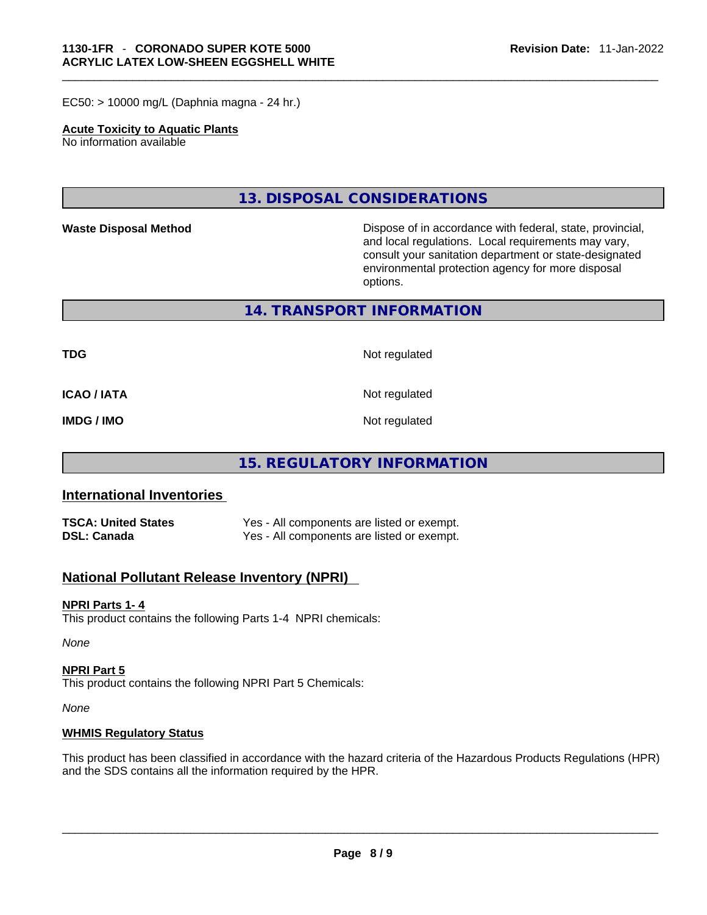EC50: > 10000 mg/L (Daphnia magna - 24 hr.)

## **Acute Toxicity to Aquatic Plants**

No information available

**13. DISPOSAL CONSIDERATIONS** 

Waste Disposal Method **Waste Disposal Method Dispose of in accordance with federal, state, provincial,** and local regulations. Local requirements may vary, consult your sanitation department or state-designated environmental protection agency for more disposal options.

**14. TRANSPORT INFORMATION** 

**TDG** Not regulated

**ICAO / IATA** Not regulated

**IMDG / IMO** Not regulated

## **15. REGULATORY INFORMATION**

## **International Inventories**

| <b>TSCA: United States</b> | Yes - All components are listed or exempt. |
|----------------------------|--------------------------------------------|
| DSL: Canada                | Yes - All components are listed or exempt. |

## **National Pollutant Release Inventory (NPRI)**

### **NPRI Parts 1- 4**

This product contains the following Parts 1-4 NPRI chemicals:

*None*

## **NPRI Part 5**

This product contains the following NPRI Part 5 Chemicals:

*None*

## **WHMIS Regulatory Status**

This product has been classified in accordance with the hazard criteria of the Hazardous Products Regulations (HPR) and the SDS contains all the information required by the HPR. \_\_\_\_\_\_\_\_\_\_\_\_\_\_\_\_\_\_\_\_\_\_\_\_\_\_\_\_\_\_\_\_\_\_\_\_\_\_\_\_\_\_\_\_\_\_\_\_\_\_\_\_\_\_\_\_\_\_\_\_\_\_\_\_\_\_\_\_\_\_\_\_\_\_\_\_\_\_\_\_\_\_\_\_\_\_\_\_\_\_\_\_\_